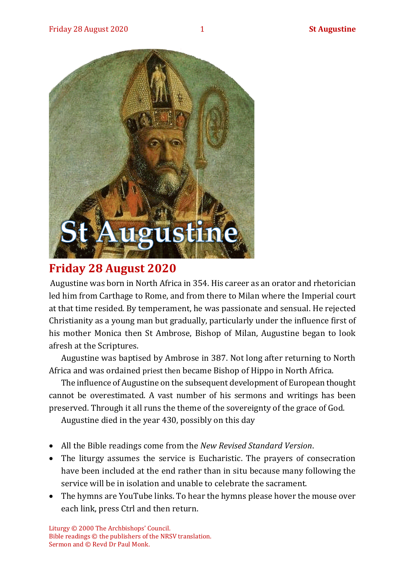

## **Friday 28 August 2020**

Augustine was born in North Africa in 354. His career as an orator and rhetorician led him from Carthage to Rome, and from there to Milan where the Imperial court at that time resided. By temperament, he was passionate and sensual. He rejected Christianity as a young man but gradually, particularly under the influence first of his mother Monica then St Ambrose, Bishop of Milan, Augustine began to look afresh at the Scriptures.

Augustine was baptised by Ambrose in 387. Not long after returning to North Africa and was ordained priest then became Bishop of Hippo in North Africa.

The influence of Augustine on the subsequent development of European thought cannot be overestimated. A vast number of his sermons and writings has been preserved. Through it all runs the theme of the sovereignty of the grace of God.

Augustine died in the year 430, possibly on this day

- All the Bible readings come from the *New Revised Standard Version*.
- The liturgy assumes the service is Eucharistic. The prayers of consecration have been included at the end rather than in situ because many following the service will be in isolation and unable to celebrate the sacrament.
- The hymns are YouTube links. To hear the hymns please hover the mouse over each link, press Ctrl and then return.

Liturgy © 2000 The Archbishops' Council. Bible readings © the publishers of the NRSV translation. Sermon and © Revd Dr Paul Monk.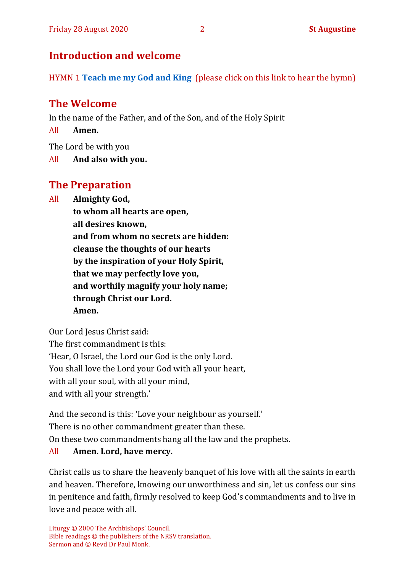## **Introduction and welcome**

HYMN 1 **[Teach me my God and King](https://www.youtube.com/watch?v=p1Rpax0eEqI)** (please click on this link to hear the hymn)

## **The Welcome**

In the name of the Father, and of the Son, and of the Holy Spirit

All **Amen.**

The Lord be with you

All **And also with you.**

## **The Preparation**

All **Almighty God,**

**to whom all hearts are open, all desires known, and from whom no secrets are hidden: cleanse the thoughts of our hearts by the inspiration of your Holy Spirit, that we may perfectly love you, and worthily magnify your holy name; through Christ our Lord. Amen.**

Our Lord Jesus Christ said: The first commandment is this: 'Hear, O Israel, the Lord our God is the only Lord. You shall love the Lord your God with all your heart, with all your soul, with all your mind, and with all your strength.'

And the second is this: 'Love your neighbour as yourself.' There is no other commandment greater than these. On these two commandments hang all the law and the prophets. All **Amen. Lord, have mercy.**

Christ calls us to share the heavenly banquet of his love with all the saints in earth and heaven. Therefore, knowing our unworthiness and sin, let us confess our sins in penitence and faith, firmly resolved to keep God's commandments and to live in love and peace with all.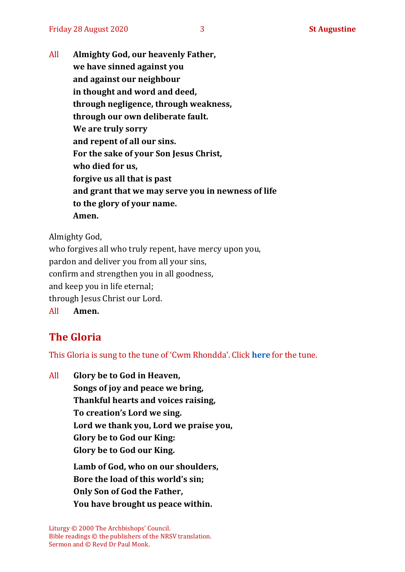All **Almighty God, our heavenly Father, we have sinned against you and against our neighbour in thought and word and deed, through negligence, through weakness, through our own deliberate fault. We are truly sorry and repent of all our sins. For the sake of your Son Jesus Christ, who died for us, forgive us all that is past and grant that we may serve you in newness of life to the glory of your name. Amen.**

Almighty God,

who forgives all who truly repent, have mercy upon you, pardon and deliver you from all your sins, confirm and strengthen you in all goodness, and keep you in life eternal; through Jesus Christ our Lord. All **Amen.**

## **The Gloria**

This Gloria is sung to the tune of 'Cwm Rhondda'. Click **[here](about:blank)** for the tune.

All **Glory be to God in Heaven, Songs of joy and peace we bring, Thankful hearts and voices raising, To creation's Lord we sing. Lord we thank you, Lord we praise you, Glory be to God our King: Glory be to God our King. Lamb of God, who on our shoulders, Bore the load of this world's sin; Only Son of God the Father, You have brought us peace within.**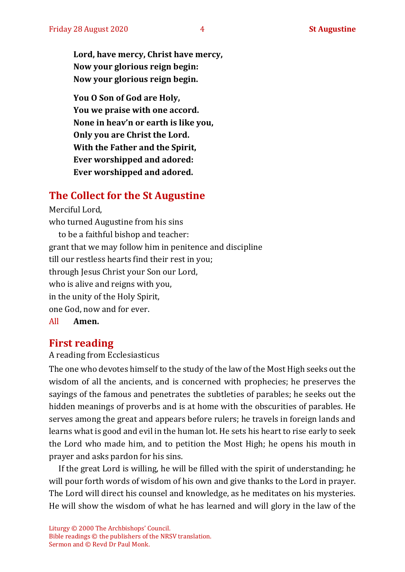**Lord, have mercy, Christ have mercy, Now your glorious reign begin: Now your glorious reign begin.**

**You O Son of God are Holy, You we praise with one accord. None in heav'n or earth is like you, Only you are Christ the Lord. With the Father and the Spirit, Ever worshipped and adored: Ever worshipped and adored.**

## **The Collect for the St Augustine**

Merciful Lord, who turned Augustine from his sins to be a faithful bishop and teacher: grant that we may follow him in penitence and discipline till our restless hearts find their rest in you; through Jesus Christ your Son our Lord, who is alive and reigns with you, in the unity of the Holy Spirit, one God, now and for ever.

All **Amen.**

#### **First reading**

#### A reading from Ecclesiasticus

The one who devotes himself to the study of the law of the Most High seeks out the wisdom of all the ancients, and is concerned with prophecies; he preserves the sayings of the famous and penetrates the subtleties of parables; he seeks out the hidden meanings of proverbs and is at home with the obscurities of parables. He serves among the great and appears before rulers; he travels in foreign lands and learns what is good and evil in the human lot. He sets his heart to rise early to seek the Lord who made him, and to petition the Most High; he opens his mouth in prayer and asks pardon for his sins.

If the great Lord is willing, he will be filled with the spirit of understanding; he will pour forth words of wisdom of his own and give thanks to the Lord in prayer. The Lord will direct his counsel and knowledge, as he meditates on his mysteries. He will show the wisdom of what he has learned and will glory in the law of the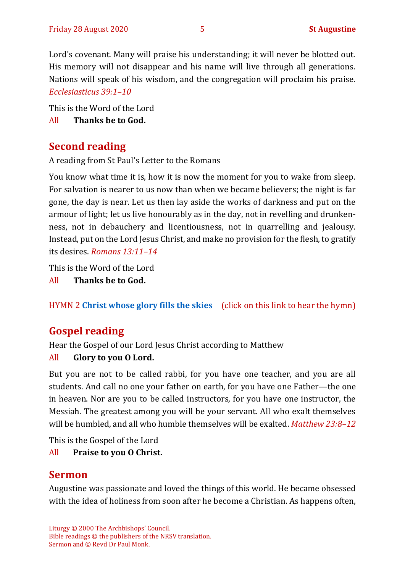Lord's covenant. Many will praise his understanding; it will never be blotted out. His memory will not disappear and his name will live through all generations. Nations will speak of his wisdom, and the congregation will proclaim his praise. *Ecclesiasticus 39:1–10*

This is the Word of the Lord

All **Thanks be to God.**

## **Second reading**

A reading from St Paul's Letter to the Romans

You know what time it is, how it is now the moment for you to wake from sleep. For salvation is nearer to us now than when we became believers; the night is far gone, the day is near. Let us then lay aside the works of darkness and put on the armour of light; let us live honourably as in the day, not in revelling and drunkenness, not in debauchery and licentiousness, not in quarrelling and jealousy. Instead, put on the Lord Jesus Christ, and make no provision for the flesh, to gratify its desires. *Romans 13:11–14*

This is the Word of the Lord

All **Thanks be to God.**

HYMN 2 **[Christ whose glory fills the skies](https://www.youtube.com/watch?v=NoOS1L15r6o)** (click on this link to hear the hymn)

## **Gospel reading**

Hear the Gospel of our Lord Jesus Christ according to Matthew

#### All **Glory to you O Lord.**

But you are not to be called rabbi, for you have one teacher, and you are all students. And call no one your father on earth, for you have one Father—the one in heaven. Nor are you to be called instructors, for you have one instructor, the Messiah. The greatest among you will be your servant. All who exalt themselves will be humbled, and all who humble themselves will be exalted. *Matthew 23:8–12*

This is the Gospel of the Lord

#### All **Praise to you O Christ.**

## **Sermon**

Augustine was passionate and loved the things of this world. He became obsessed with the idea of holiness from soon after he become a Christian. As happens often,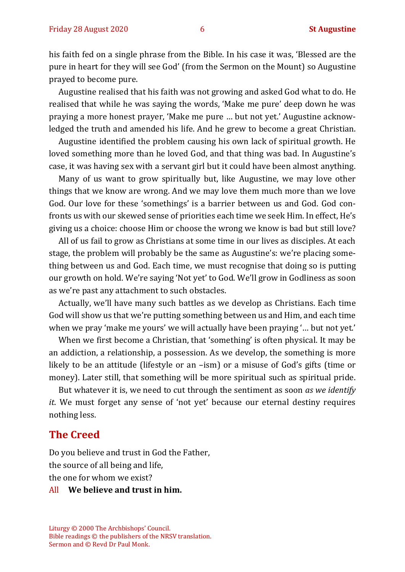his faith fed on a single phrase from the Bible. In his case it was, 'Blessed are the pure in heart for they will see God' (from the Sermon on the Mount) so Augustine prayed to become pure.

Augustine realised that his faith was not growing and asked God what to do. He realised that while he was saying the words, 'Make me pure' deep down he was praying a more honest prayer, 'Make me pure … but not yet.' Augustine acknowledged the truth and amended his life. And he grew to become a great Christian.

Augustine identified the problem causing his own lack of spiritual growth. He loved something more than he loved God, and that thing was bad. In Augustine's case, it was having sex with a servant girl but it could have been almost anything.

Many of us want to grow spiritually but, like Augustine, we may love other things that we know are wrong. And we may love them much more than we love God. Our love for these 'somethings' is a barrier between us and God. God confronts us with our skewed sense of priorities each time we seek Him. In effect, He's giving us a choice: choose Him or choose the wrong we know is bad but still love?

All of us fail to grow as Christians at some time in our lives as disciples. At each stage, the problem will probably be the same as Augustine's: we're placing something between us and God. Each time, we must recognise that doing so is putting our growth on hold. We're saying 'Not yet' to God. We'll grow in Godliness as soon as we're past any attachment to such obstacles.

Actually, we'll have many such battles as we develop as Christians. Each time God will show us that we're putting something between us and Him, and each time when we pray 'make me yours' we will actually have been praying '… but not yet.'

When we first become a Christian, that 'something' is often physical. It may be an addiction, a relationship, a possession. As we develop, the something is more likely to be an attitude (lifestyle or an –ism) or a misuse of God's gifts (time or money). Later still, that something will be more spiritual such as spiritual pride.

But whatever it is, we need to cut through the sentiment as soon *as we identify it*. We must forget any sense of 'not yet' because our eternal destiny requires nothing less.

#### **The Creed**

Do you believe and trust in God the Father, the source of all being and life, the one for whom we exist?

#### All **We believe and trust in him.**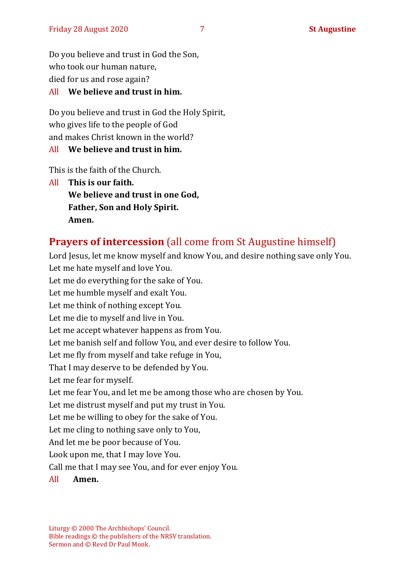Do you believe and trust in God the Son, who took our human nature, died for us and rose again?

#### All **We believe and trust in him.**

Do you believe and trust in God the Holy Spirit, who gives life to the people of God and makes Christ known in the world?

#### All **We believe and trust in him.**

This is the faith of the Church.

All **This is our faith. We believe and trust in one God, Father, Son and Holy Spirit. Amen.**

## **Prayers of intercession** (all come from St Augustine himself)

Lord Jesus, let me know myself and know You, and desire nothing save only You. Let me hate myself and love You. Let me do everything for the sake of You. Let me humble myself and exalt You. Let me think of nothing except You. Let me die to myself and live in You. Let me accept whatever happens as from You. Let me banish self and follow You, and ever desire to follow You. Let me fly from myself and take refuge in You, That I may deserve to be defended by You. Let me fear for myself. Let me fear You, and let me be among those who are chosen by You. Let me distrust myself and put my trust in You. Let me be willing to obey for the sake of You. Let me cling to nothing save only to You, And let me be poor because of You. Look upon me, that I may love You. Call me that I may see You, and for ever enjoy You. All **Amen.**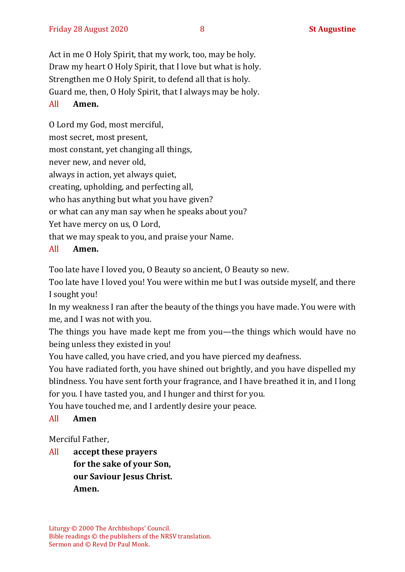Act in me O Holy Spirit, that my work, too, may be holy. Draw my heart O Holy Spirit, that I love but what is holy. Strengthen me O Holy Spirit, to defend all that is holy. Guard me, then, O Holy Spirit, that I always may be holy.

#### All **Amen.**

O Lord my God, most merciful, most secret, most present, most constant, yet changing all things, never new, and never old, always in action, yet always quiet, creating, upholding, and perfecting all, who has anything but what you have given? or what can any man say when he speaks about you? Yet have mercy on us, O Lord, that we may speak to you, and praise your Name.

#### All **Amen.**

Too late have I loved you, O Beauty so ancient, O Beauty so new.

Too late have I loved you! You were within me but I was outside myself, and there I sought you!

In my weakness I ran after the beauty of the things you have made. You were with me, and I was not with you.

The things you have made kept me from you—the things which would have no being unless they existed in you!

You have called, you have cried, and you have pierced my deafness.

You have radiated forth, you have shined out brightly, and you have dispelled my blindness. You have sent forth your fragrance, and I have breathed it in, and I long for you. I have tasted you, and I hunger and thirst for you.

You have touched me, and I ardently desire your peace.

#### All **Amen**

Merciful Father,

All **accept these prayers for the sake of your Son, our Saviour Jesus Christ. Amen.**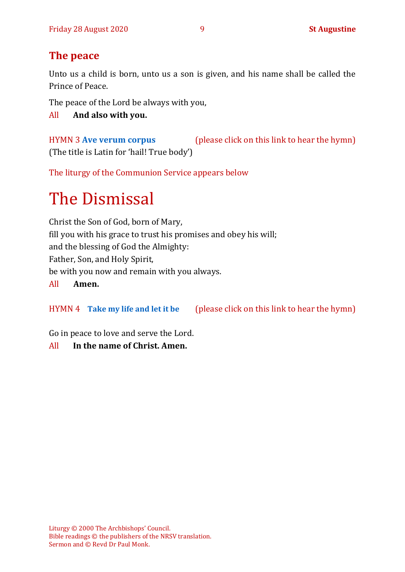## **The peace**

Unto us a child is born, unto us a son is given, and his name shall be called the Prince of Peace.

The peace of the Lord be always with you,

All **And also with you.**

HYMN 3 **[Ave verum corpus](https://www.youtube.com/watch?v=dVzc1YdXahA)** (please click on this link to hear the hymn) (The title is Latin for 'hail! True body')

The liturgy of the Communion Service appears below

# The Dismissal

Christ the Son of God, born of Mary, fill you with his grace to trust his promises and obey his will; and the blessing of God the Almighty: Father, Son, and Holy Spirit, be with you now and remain with you always. All **Amen.**

HYMN 4 **[Take my life and let it be](https://www.youtube.com/watch?v=Gf11rReeWIs)** (please click on this link to hear the hymn)

Go in peace to love and serve the Lord.

All **In the name of Christ. Amen.**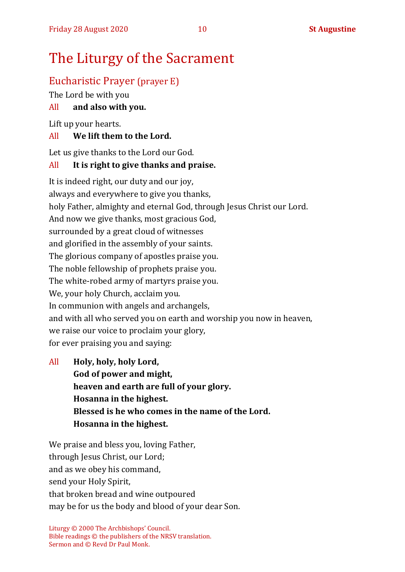## The Liturgy of the Sacrament

## Eucharistic Prayer (prayer E)

The Lord be with you

#### All **and also with you.**

Lift up your hearts.

#### All **We lift them to the Lord.**

Let us give thanks to the Lord our God.

#### All **It is right to give thanks and praise.**

It is indeed right, our duty and our joy, always and everywhere to give you thanks, holy Father, almighty and eternal God, through Jesus Christ our Lord. And now we give thanks, most gracious God, surrounded by a great cloud of witnesses and glorified in the assembly of your saints. The glorious company of apostles praise you. The noble fellowship of prophets praise you. The white-robed army of martyrs praise you. We, your holy Church, acclaim you. In communion with angels and archangels, and with all who served you on earth and worship you now in heaven, we raise our voice to proclaim your glory, for ever praising you and saying:

All **Holy, holy, holy Lord, God of power and might, heaven and earth are full of your glory. Hosanna in the highest. Blessed is he who comes in the name of the Lord. Hosanna in the highest.**

We praise and bless you, loving Father, through Jesus Christ, our Lord; and as we obey his command, send your Holy Spirit, that broken bread and wine outpoured may be for us the body and blood of your dear Son.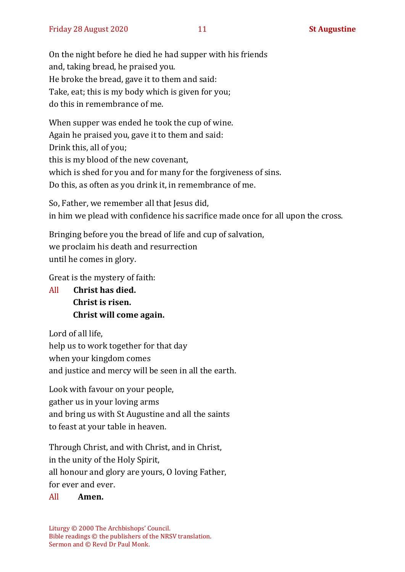On the night before he died he had supper with his friends and, taking bread, he praised you. He broke the bread, gave it to them and said: Take, eat; this is my body which is given for you; do this in remembrance of me.

When supper was ended he took the cup of wine. Again he praised you, gave it to them and said: Drink this, all of you; this is my blood of the new covenant, which is shed for you and for many for the forgiveness of sins. Do this, as often as you drink it, in remembrance of me.

So, Father, we remember all that Jesus did, in him we plead with confidence his sacrifice made once for all upon the cross.

Bringing before you the bread of life and cup of salvation, we proclaim his death and resurrection until he comes in glory.

Great is the mystery of faith:

All **Christ has died. Christ is risen. Christ will come again.**

Lord of all life, help us to work together for that day when your kingdom comes and justice and mercy will be seen in all the earth.

Look with favour on your people, gather us in your loving arms and bring us with St Augustine and all the saints to feast at your table in heaven.

Through Christ, and with Christ, and in Christ, in the unity of the Holy Spirit, all honour and glory are yours, O loving Father, for ever and ever.

#### All **Amen.**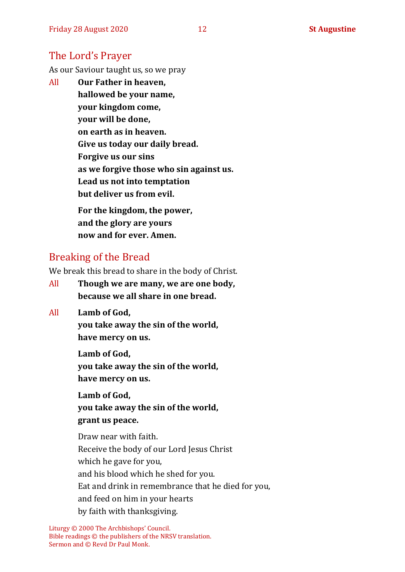#### The Lord's Prayer

As our Saviour taught us, so we pray

All **Our Father in heaven, hallowed be your name, your kingdom come, your will be done, on earth as in heaven. Give us today our daily bread. Forgive us our sins as we forgive those who sin against us. Lead us not into temptation but deliver us from evil. For the kingdom, the power,** 

**and the glory are yours now and for ever. Amen.**

#### Breaking of the Bread

We break this bread to share in the body of Christ.

- All **Though we are many, we are one body, because we all share in one bread.**
- All **Lamb of God,**

**you take away the sin of the world, have mercy on us.**

**Lamb of God, you take away the sin of the world, have mercy on us.**

**Lamb of God, you take away the sin of the world, grant us peace.**

Draw near with faith. Receive the body of our Lord Jesus Christ which he gave for you, and his blood which he shed for you. Eat and drink in remembrance that he died for you, and feed on him in your hearts by faith with thanksgiving.